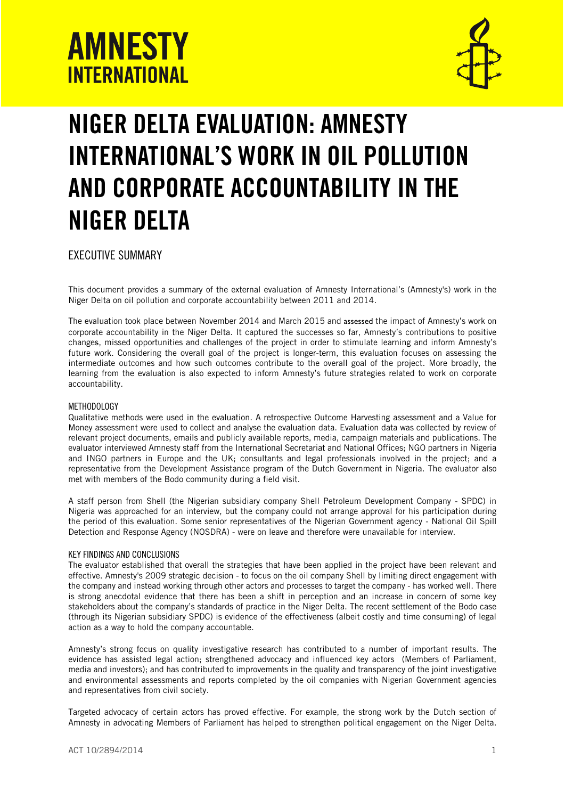



# NIGER DELTA EVALUATION: AMNESTY INTERNATIONAL'S WORK IN OIL POLLUTION AND CORPORATE ACCOUNTABILITY IN THE NIGER DELTA

EXECUTIVE SUMMARY

This document provides a summary of the external evaluation of Amnesty International's (Amnesty's) work in the Niger Delta on oil pollution and corporate accountability between 2011 and 2014.

The evaluation took place between November 2014 and March 2015 and assessed the impact of Amnesty's work on corporate accountability in the Niger Delta. It captured the successes so far, Amnesty's contributions to positive changes, missed opportunities and challenges of the project in order to stimulate learning and inform Amnesty's future work. Considering the overall goal of the project is longer-term, this evaluation focuses on assessing the intermediate outcomes and how such outcomes contribute to the overall goal of the project. More broadly, the learning from the evaluation is also expected to inform Amnesty's future strategies related to work on corporate accountability.

### METHODOLOGY

Qualitative methods were used in the evaluation. A retrospective Outcome Harvesting assessment and a Value for Money assessment were used to collect and analyse the evaluation data. Evaluation data was collected by review of relevant project documents, emails and publicly available reports, media, campaign materials and publications. The evaluator interviewed Amnesty staff from the International Secretariat and National Offices; NGO partners in Nigeria and INGO partners in Europe and the UK; consultants and legal professionals involved in the project; and a representative from the Development Assistance program of the Dutch Government in Nigeria. The evaluator also met with members of the Bodo community during a field visit.

A staff person from Shell (the Nigerian subsidiary company Shell Petroleum Development Company - SPDC) in Nigeria was approached for an interview, but the company could not arrange approval for his participation during the period of this evaluation. Some senior representatives of the Nigerian Government agency - National Oil Spill Detection and Response Agency (NOSDRA) - were on leave and therefore were unavailable for interview.

### KEY FINDINGS AND CONCLUSIONS

The evaluator established that overall the strategies that have been applied in the project have been relevant and effective. Amnesty's 2009 strategic decision - to focus on the oil company Shell by limiting direct engagement with the company and instead working through other actors and processes to target the company - has worked well. There is strong anecdotal evidence that there has been a shift in perception and an increase in concern of some key stakeholders about the company's standards of practice in the Niger Delta. The recent settlement of the Bodo case (through its Nigerian subsidiary SPDC) is evidence of the effectiveness (albeit costly and time consuming) of legal action as a way to hold the company accountable.

Amnesty's strong focus on quality investigative research has contributed to a number of important results. The evidence has assisted legal action; strengthened advocacy and influenced key actors (Members of Parliament, media and investors); and has contributed to improvements in the quality and transparency of the joint investigative and environmental assessments and reports completed by the oil companies with Nigerian Government agencies and representatives from civil society.

Targeted advocacy of certain actors has proved effective. For example, the strong work by the Dutch section of Amnesty in advocating Members of Parliament has helped to strengthen political engagement on the Niger Delta.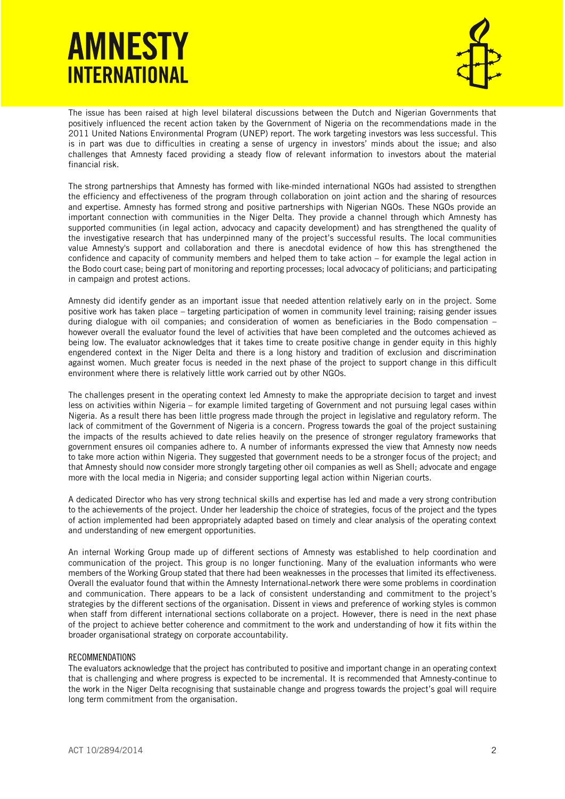## **AMNESTY INTERNATIONAL**



The issue has been raised at high level bilateral discussions between the Dutch and Nigerian Governments that positively influenced the recent action taken by the Government of Nigeria on the recommendations made in the 2011 United Nations Environmental Program (UNEP) report. The work targeting investors was less successful. This is in part was due to difficulties in creating a sense of urgency in investors' minds about the issue; and also challenges that Amnesty faced providing a steady flow of relevant information to investors about the material financial risk.

The strong partnerships that Amnesty has formed with like-minded international NGOs had assisted to strengthen the efficiency and effectiveness of the program through collaboration on joint action and the sharing of resources and expertise. Amnesty has formed strong and positive partnerships with Nigerian NGOs. These NGOs provide an important connection with communities in the Niger Delta. They provide a channel through which Amnesty has supported communities (in legal action, advocacy and capacity development) and has strengthened the quality of the investigative research that has underpinned many of the project's successful results. The local communities value Amnesty's support and collaboration and there is anecdotal evidence of how this has strengthened the confidence and capacity of community members and helped them to take action – for example the legal action in the Bodo court case; being part of monitoring and reporting processes; local advocacy of politicians; and participating in campaign and protest actions.

Amnesty did identify gender as an important issue that needed attention relatively early on in the project. Some positive work has taken place – targeting participation of women in community level training; raising gender issues during dialogue with oil companies; and consideration of women as beneficiaries in the Bodo compensation – however overall the evaluator found the level of activities that have been completed and the outcomes achieved as being low. The evaluator acknowledges that it takes time to create positive change in gender equity in this highly engendered context in the Niger Delta and there is a long history and tradition of exclusion and discrimination against women. Much greater focus is needed in the next phase of the project to support change in this difficult environment where there is relatively little work carried out by other NGOs.

The challenges present in the operating context led Amnesty to make the appropriate decision to target and invest less on activities within Nigeria – for example limited targeting of Government and not pursuing legal cases within Nigeria. As a result there has been little progress made through the project in legislative and regulatory reform. The lack of commitment of the Government of Nigeria is a concern. Progress towards the goal of the project sustaining the impacts of the results achieved to date relies heavily on the presence of stronger regulatory frameworks that government ensures oil companies adhere to. A number of informants expressed the view that Amnesty now needs to take more action within Nigeria. They suggested that government needs to be a stronger focus of the project; and that Amnesty should now consider more strongly targeting other oil companies as well as Shell; advocate and engage more with the local media in Nigeria; and consider supporting legal action within Nigerian courts.

A dedicated Director who has very strong technical skills and expertise has led and made a very strong contribution to the achievements of the project. Under her leadership the choice of strategies, focus of the project and the types of action implemented had been appropriately adapted based on timely and clear analysis of the operating context and understanding of new emergent opportunities.

An internal Working Group made up of different sections of Amnesty was established to help coordination and communication of the project. This group is no longer functioning. Many of the evaluation informants who were members of the Working Group stated that there had been weaknesses in the processes that limited its effectiveness. Overall the evaluator found that within the Amnesty International network there were some problems in coordination and communication. There appears to be a lack of consistent understanding and commitment to the project's strategies by the different sections of the organisation. Dissent in views and preference of working styles is common when staff from different international sections collaborate on a project. However, there is need in the next phase of the project to achieve better coherence and commitment to the work and understanding of how it fits within the broader organisational strategy on corporate accountability.

### RECOMMENDATIONS

The evaluators acknowledge that the project has contributed to positive and important change in an operating context that is challenging and where progress is expected to be incremental. It is recommended that Amnesty continue to the work in the Niger Delta recognising that sustainable change and progress towards the project's goal will require long term commitment from the organisation.